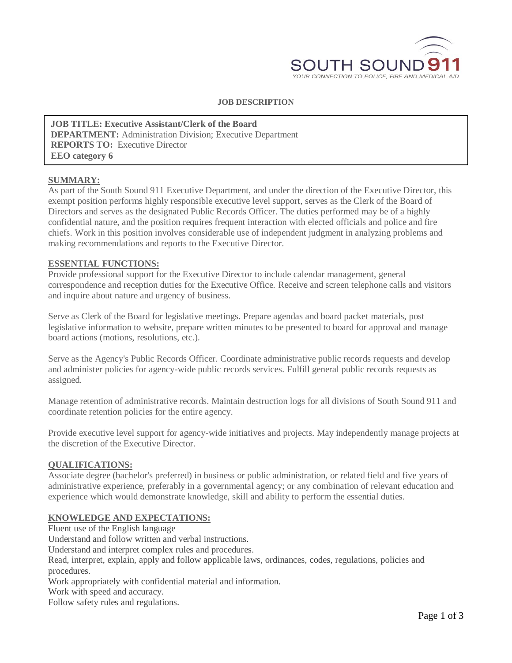

### **JOB DESCRIPTION**

**JOB TITLE: Executive Assistant/Clerk of the Board DEPARTMENT:** Administration Division; Executive Department **REPORTS TO:** Executive Director **EEO category 6**

#### **SUMMARY:**

As part of the South Sound 911 Executive Department, and under the direction of the Executive Director, this exempt position performs highly responsible executive level support, serves as the Clerk of the Board of Directors and serves as the designated Public Records Officer. The duties performed may be of a highly confidential nature, and the position requires frequent interaction with elected officials and police and fire chiefs. Work in this position involves considerable use of independent judgment in analyzing problems and making recommendations and reports to the Executive Director.

#### **ESSENTIAL FUNCTIONS:**

Provide professional support for the Executive Director to include calendar management, general correspondence and reception duties for the Executive Office. Receive and screen telephone calls and visitors and inquire about nature and urgency of business.

Serve as Clerk of the Board for legislative meetings. Prepare agendas and board packet materials, post legislative information to website, prepare written minutes to be presented to board for approval and manage board actions (motions, resolutions, etc.).

Serve as the Agency's Public Records Officer. Coordinate administrative public records requests and develop and administer policies for agency-wide public records services. Fulfill general public records requests as assigned.

Manage retention of administrative records. Maintain destruction logs for all divisions of South Sound 911 and coordinate retention policies for the entire agency.

Provide executive level support for agency-wide initiatives and projects. May independently manage projects at the discretion of the Executive Director.

### **QUALIFICATIONS:**

Associate degree (bachelor's preferred) in business or public administration, or related field and five years of administrative experience, preferably in a governmental agency; or any combination of relevant education and experience which would demonstrate knowledge, skill and ability to perform the essential duties.

## **KNOWLEDGE AND EXPECTATIONS:**

Fluent use of the English language

Understand and follow written and verbal instructions.

Understand and interpret complex rules and procedures.

Read, interpret, explain, apply and follow applicable laws, ordinances, codes, regulations, policies and procedures.

Work appropriately with confidential material and information.

Work with speed and accuracy.

Follow safety rules and regulations.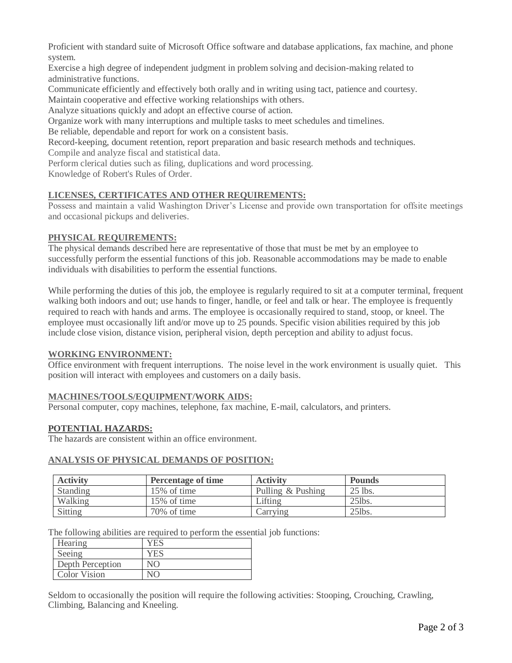Proficient with standard suite of Microsoft Office software and database applications, fax machine, and phone system.

Exercise a high degree of independent judgment in problem solving and decision-making related to administrative functions.

Communicate efficiently and effectively both orally and in writing using tact, patience and courtesy. Maintain cooperative and effective working relationships with others.

Analyze situations quickly and adopt an effective course of action.

Organize work with many interruptions and multiple tasks to meet schedules and timelines.

Be reliable, dependable and report for work on a consistent basis.

Record-keeping, document retention, report preparation and basic research methods and techniques. Compile and analyze fiscal and statistical data.

Perform clerical duties such as filing, duplications and word processing.

Knowledge of Robert's Rules of Order.

# **LICENSES, CERTIFICATES AND OTHER REQUIREMENTS:**

Possess and maintain a valid Washington Driver's License and provide own transportation for offsite meetings and occasional pickups and deliveries.

# **PHYSICAL REQUIREMENTS:**

The physical demands described here are representative of those that must be met by an employee to successfully perform the essential functions of this job. Reasonable accommodations may be made to enable individuals with disabilities to perform the essential functions.

While performing the duties of this job, the employee is regularly required to sit at a computer terminal, frequent walking both indoors and out; use hands to finger, handle, or feel and talk or hear. The employee is frequently required to reach with hands and arms. The employee is occasionally required to stand, stoop, or kneel. The employee must occasionally lift and/or move up to 25 pounds. Specific vision abilities required by this job include close vision, distance vision, peripheral vision, depth perception and ability to adjust focus.

## **WORKING ENVIRONMENT:**

Office environment with frequent interruptions. The noise level in the work environment is usually quiet. This position will interact with employees and customers on a daily basis.

# **MACHINES/TOOLS/EQUIPMENT/WORK AIDS:**

Personal computer, copy machines, telephone, fax machine, E-mail, calculators, and printers.

# **POTENTIAL HAZARDS:**

The hazards are consistent within an office environment.

## **ANALYSIS OF PHYSICAL DEMANDS OF POSITION:**

| <b>Activity</b> | <b>Percentage of time</b> | <b>Activity</b>   | <b>Pounds</b> |
|-----------------|---------------------------|-------------------|---------------|
| Standing        | 15% of time               | Pulling & Pushing | 25 lbs.       |
| Walking         | $15\%$ of time            | Lifting           | $25$ lbs.     |
| Sitting         | 70% of time               | Carrying          | $25$ lbs.     |

The following abilities are required to perform the essential job functions:

| Hearing          | YES |
|------------------|-----|
| Seeing           | YES |
| Depth Perception | N() |
| Color Vision     | N() |

Seldom to occasionally the position will require the following activities: Stooping, Crouching, Crawling, Climbing, Balancing and Kneeling.